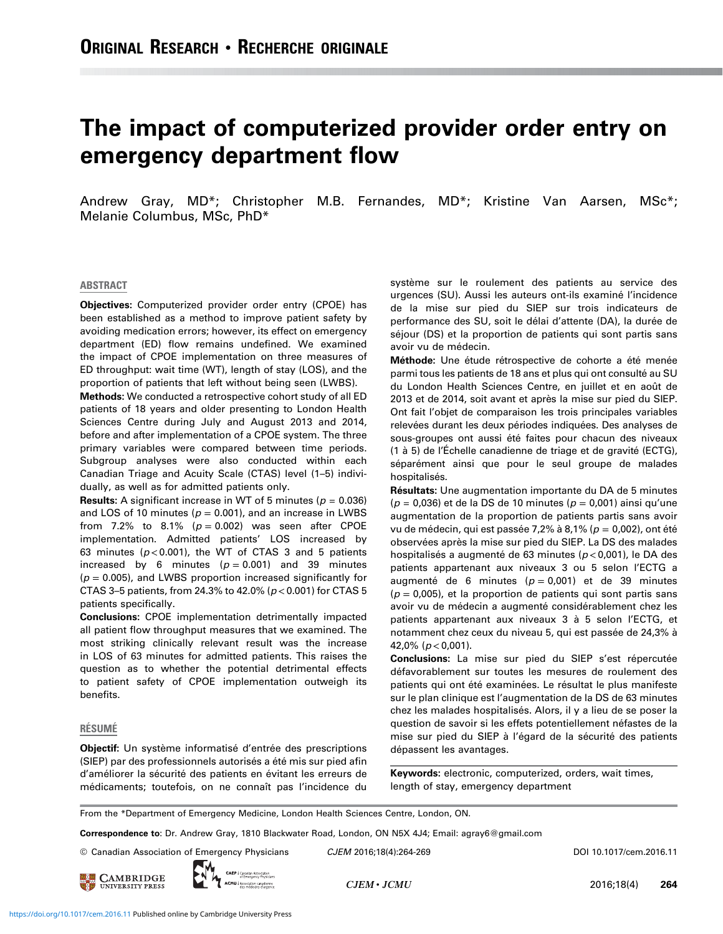# The impact of computerized provider order entry on emergency department flow

Andrew Gray, MD\*; Christopher M.B. Fernandes, MD\*; Kristine Van Aarsen, MSc\*; Melanie Columbus, MSc, PhD\*

#### ABSTRACT

Objectives: Computerized provider order entry (CPOE) has been established as a method to improve patient safety by avoiding medication errors; however, its effect on emergency department (ED) flow remains undefined. We examined the impact of CPOE implementation on three measures of ED throughput: wait time (WT), length of stay (LOS), and the proportion of patients that left without being seen (LWBS).

Methods: We conducted a retrospective cohort study of all ED patients of 18 years and older presenting to London Health Sciences Centre during July and August 2013 and 2014, before and after implementation of a CPOE system. The three primary variables were compared between time periods. Subgroup analyses were also conducted within each Canadian Triage and Acuity Scale (CTAS) level (1–5) individually, as well as for admitted patients only.

**Results:** A significant increase in WT of 5 minutes ( $p = 0.036$ ) and LOS of 10 minutes ( $p = 0.001$ ), and an increase in LWBS from 7.2% to 8.1% ( $p = 0.002$ ) was seen after CPOE implementation. Admitted patients' LOS increased by 63 minutes ( $p$ <0.001), the WT of CTAS 3 and 5 patients increased by 6 minutes ( $p = 0.001$ ) and 39 minutes  $(p = 0.005)$ , and LWBS proportion increased significantly for CTAS 3-5 patients, from 24.3% to 42.0% ( $p < 0.001$ ) for CTAS 5 patients specifically.

Conclusions: CPOE implementation detrimentally impacted all patient flow throughput measures that we examined. The most striking clinically relevant result was the increase in LOS of 63 minutes for admitted patients. This raises the question as to whether the potential detrimental effects to patient safety of CPOE implementation outweigh its benefits.

#### RÉSUMÉ

Objectif: Un système informatisé d'entrée des prescriptions (SIEP) par des professionnels autorisés a été mis sur pied afin d'améliorer la sécurité des patients en évitant les erreurs de médicaments; toutefois, on ne connaît pas l'incidence du système sur le roulement des patients au service des urgences (SU). Aussi les auteurs ont-ils examiné l'incidence de la mise sur pied du SIEP sur trois indicateurs de performance des SU, soit le délai d'attente (DA), la durée de séjour (DS) et la proportion de patients qui sont partis sans avoir vu de médecin.

Méthode: Une étude rétrospective de cohorte a été menée parmi tous les patients de 18 ans et plus qui ont consulté au SU du London Health Sciences Centre, en juillet et en août de 2013 et de 2014, soit avant et après la mise sur pied du SIEP. Ont fait l'objet de comparaison les trois principales variables relevées durant les deux périodes indiquées. Des analyses de sous-groupes ont aussi été faites pour chacun des niveaux (1 à 5) de l'Échelle canadienne de triage et de gravité (ECTG), séparément ainsi que pour le seul groupe de malades hospitalisés.

Résultats: Une augmentation importante du DA de 5 minutes  $(p = 0.036)$  et de la DS de 10 minutes  $(p = 0.001)$  ainsi qu'une augmentation de la proportion de patients partis sans avoir vu de médecin, qui est passée 7,2% à 8,1% ( $p = 0.002$ ), ont été observées après la mise sur pied du SIEP. La DS des malades hospitalisés a augmenté de 63 minutes ( $p$  < 0,001), le DA des patients appartenant aux niveaux 3 ou 5 selon l'ECTG a augmenté de 6 minutes ( $p = 0.001$ ) et de 39 minutes  $(p = 0.005)$ , et la proportion de patients qui sont partis sans avoir vu de médecin a augmenté considérablement chez les patients appartenant aux niveaux 3 à 5 selon l'ECTG, et notamment chez ceux du niveau 5, qui est passée de 24,3% à 42,0% ( $p < 0,001$ ).

Conclusions: La mise sur pied du SIEP s'est répercutée défavorablement sur toutes les mesures de roulement des patients qui ont été examinées. Le résultat le plus manifeste sur le plan clinique est l'augmentation de la DS de 63 minutes chez les malades hospitalisés. Alors, il y a lieu de se poser la question de savoir si les effets potentiellement néfastes de la mise sur pied du SIEP à l'égard de la sécurité des patients dépassent les avantages.

Keywords: electronic, computerized, orders, wait times, length of stay, emergency department

From the \*Department of Emergency Medicine, London Health Sciences Centre, London, ON.

Correspondence to: Dr. Andrew Gray, 1810 Blackwater Road, London, ON N5X 4J4; Email: agray6@gmail.com

© Canadian Association of Emergency Physicians CJEM 2016;18(4):264-269 DOI 10.1017/cem.2016.11





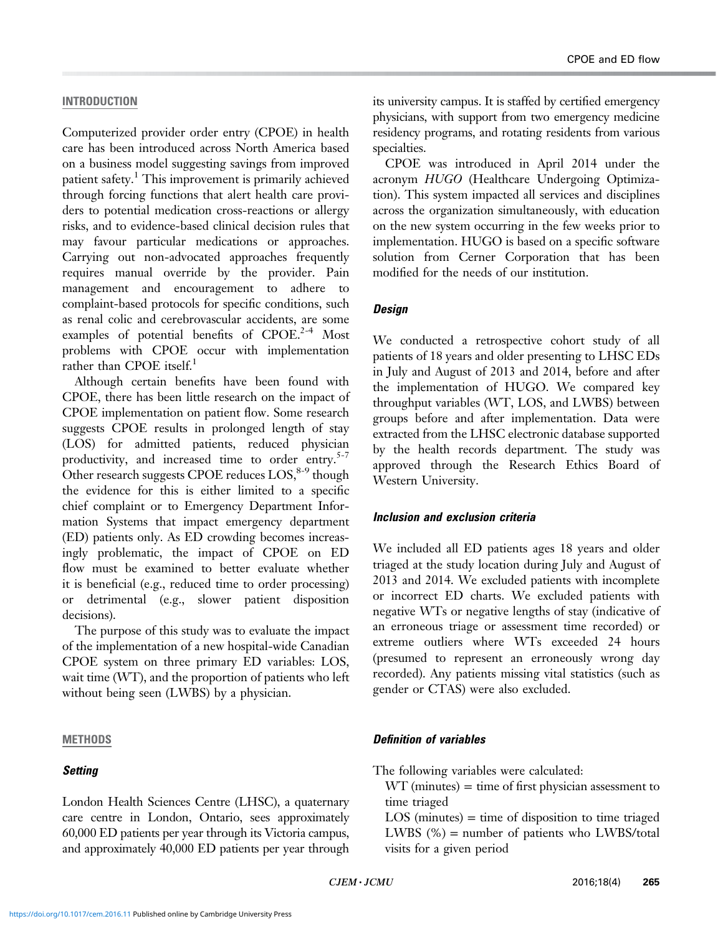# INTRODUCTION

Computerized provider order entry (CPOE) in health care has been introduced across North America based on a business model suggesting savings from improved patient safety.<sup>[1](#page-4-0)</sup> This improvement is primarily achieved through forcing functions that alert health care providers to potential medication cross-reactions or allergy risks, and to evidence-based clinical decision rules that may favour particular medications or approaches. Carrying out non-advocated approaches frequently requires manual override by the provider. Pain management and encouragement to adhere to complaint-based protocols for specific conditions, such as renal colic and cerebrovascular accidents, are some examples of potential benefits of  $\text{CPOE.}^{2-4}$  Most problems with CPOE occur with implementation rather than CPOE itself.<sup>[1](#page-4-0)</sup>

Although certain benefits have been found with CPOE, there has been little research on the impact of CPOE implementation on patient flow. Some research suggests CPOE results in prolonged length of stay (LOS) for admitted patients, reduced physician productivity, and increased time to order entry. $5-7$ Other research suggests CPOE reduces  $LOS<sup>8-9</sup>$  though the evidence for this is either limited to a specific chief complaint or to Emergency Department Information Systems that impact emergency department (ED) patients only. As ED crowding becomes increasingly problematic, the impact of CPOE on ED flow must be examined to better evaluate whether it is beneficial (e.g., reduced time to order processing) or detrimental (e.g., slower patient disposition decisions).

The purpose of this study was to evaluate the impact of the implementation of a new hospital-wide Canadian CPOE system on three primary ED variables: LOS, wait time (WT), and the proportion of patients who left without being seen (LWBS) by a physician.

## **METHODS**

# **Setting**

London Health Sciences Centre (LHSC), a quaternary care centre in London, Ontario, sees approximately 60,000 ED patients per year through its Victoria campus, and approximately 40,000 ED patients per year through its university campus. It is staffed by certified emergency physicians, with support from two emergency medicine residency programs, and rotating residents from various specialties.

CPOE was introduced in April 2014 under the acronym HUGO (Healthcare Undergoing Optimization). This system impacted all services and disciplines across the organization simultaneously, with education on the new system occurring in the few weeks prior to implementation. HUGO is based on a specific software solution from Cerner Corporation that has been modified for the needs of our institution.

# **Design**

We conducted a retrospective cohort study of all patients of 18 years and older presenting to LHSC EDs in July and August of 2013 and 2014, before and after the implementation of HUGO. We compared key throughput variables (WT, LOS, and LWBS) between groups before and after implementation. Data were extracted from the LHSC electronic database supported by the health records department. The study was approved through the Research Ethics Board of Western University.

## Inclusion and exclusion criteria

We included all ED patients ages 18 years and older triaged at the study location during July and August of 2013 and 2014. We excluded patients with incomplete or incorrect ED charts. We excluded patients with negative WTs or negative lengths of stay (indicative of an erroneous triage or assessment time recorded) or extreme outliers where WTs exceeded 24 hours (presumed to represent an erroneously wrong day recorded). Any patients missing vital statistics (such as gender or CTAS) were also excluded.

## Definition of variables

The following variables were calculated:

 $WT$  (minutes) = time of first physician assessment to time triaged

 $LOS$  (minutes)  $=$  time of disposition to time triaged LWBS (%) = number of patients who LWBS/total visits for a given period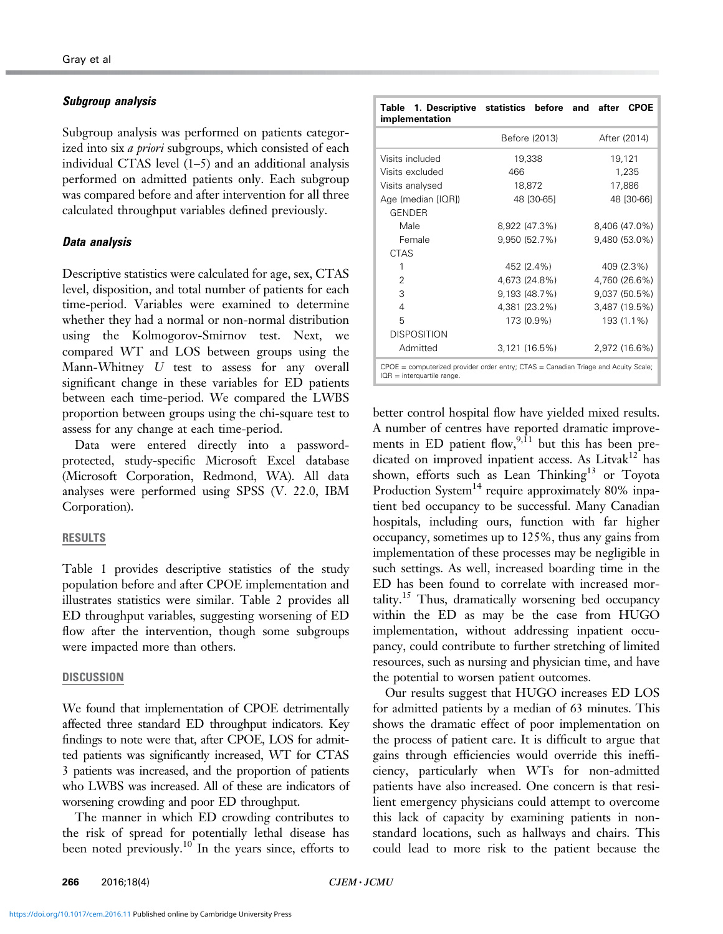#### Subgroup analysis

Subgroup analysis was performed on patients categorized into six *a priori* subgroups, which consisted of each individual CTAS level (1–5) and an additional analysis performed on admitted patients only. Each subgroup was compared before and after intervention for all three calculated throughput variables defined previously.

## Data analysis

Descriptive statistics were calculated for age, sex, CTAS level, disposition, and total number of patients for each time-period. Variables were examined to determine whether they had a normal or non-normal distribution using the Kolmogorov-Smirnov test. Next, we compared WT and LOS between groups using the Mann-Whitney U test to assess for any overall significant change in these variables for ED patients between each time-period. We compared the LWBS proportion between groups using the chi-square test to assess for any change at each time-period.

Data were entered directly into a passwordprotected, study-specific Microsoft Excel database (Microsoft Corporation, Redmond, WA). All data analyses were performed using SPSS (V. 22.0, IBM Corporation).

#### RESULTS

Table 1 provides descriptive statistics of the study population before and after CPOE implementation and illustrates statistics were similar. [Table 2](#page-3-0) provides all ED throughput variables, suggesting worsening of ED flow after the intervention, though some subgroups were impacted more than others.

#### DISCUSSION

We found that implementation of CPOE detrimentally affected three standard ED throughput indicators. Key findings to note were that, after CPOE, LOS for admitted patients was significantly increased, WT for CTAS 3 patients was increased, and the proportion of patients who LWBS was increased. All of these are indicators of worsening crowding and poor ED throughput.

The manner in which ED crowding contributes to the risk of spread for potentially lethal disease has been noted previously.<sup>[10](#page-4-0)</sup> In the years since, efforts to

| Table 1. Descriptive statistics before and after<br>implementation |               | <b>CPOE</b>   |
|--------------------------------------------------------------------|---------------|---------------|
|                                                                    | Before (2013) | After (2014)  |
| Visits included                                                    | 19,338        | 19,121        |
| Visits excluded                                                    | 466           | 1,235         |
| Visits analysed                                                    | 18,872        | 17,886        |
| Age (median [IQR])                                                 | 48 [30-65]    | 48 [30-66]    |
| <b>GENDER</b>                                                      |               |               |
| Male                                                               | 8,922 (47.3%) | 8,406 (47.0%) |
| Female                                                             | 9,950 (52.7%) | 9,480 (53.0%) |
| <b>CTAS</b>                                                        |               |               |

| Female                                                                                 | 9,950 (52.7%) | 9,480 (53.0%) |  |  |
|----------------------------------------------------------------------------------------|---------------|---------------|--|--|
| <b>CTAS</b>                                                                            |               |               |  |  |
|                                                                                        | 452 (2.4%)    | 409 (2.3%)    |  |  |
| 2                                                                                      | 4,673 (24.8%) | 4,760 (26.6%) |  |  |
| 3                                                                                      | 9,193 (48.7%) | 9,037 (50.5%) |  |  |
| 4                                                                                      | 4,381 (23.2%) | 3,487 (19.5%) |  |  |
| 5                                                                                      | 173 (0.9%)    | 193 (1.1%)    |  |  |
| <b>DISPOSITION</b>                                                                     |               |               |  |  |
| Admitted                                                                               | 3,121 (16.5%) | 2,972 (16.6%) |  |  |
| $CPOE = computerized provider order entry; CTAS = Canadian Triangle and Acuity Scale;$ |               |               |  |  |

IQR = interquartile range

better control hospital flow have yielded mixed results. A number of centres have reported dramatic improvements in ED patient flow,  $9,11$  but this has been pre-dicated on improved inpatient access. As Litvak<sup>[12](#page-4-0)</sup> has shown, efforts such as Lean Thinking<sup>13</sup> or Toyota Production System<sup>[14](#page-4-0)</sup> require approximately 80% inpatient bed occupancy to be successful. Many Canadian hospitals, including ours, function with far higher occupancy, sometimes up to 125%, thus any gains from implementation of these processes may be negligible in such settings. As well, increased boarding time in the ED has been found to correlate with increased mor-tality.<sup>[15](#page-4-0)</sup> Thus, dramatically worsening bed occupancy within the ED as may be the case from HUGO implementation, without addressing inpatient occupancy, could contribute to further stretching of limited resources, such as nursing and physician time, and have the potential to worsen patient outcomes.

Our results suggest that HUGO increases ED LOS for admitted patients by a median of 63 minutes. This shows the dramatic effect of poor implementation on the process of patient care. It is difficult to argue that gains through efficiencies would override this inefficiency, particularly when WTs for non-admitted patients have also increased. One concern is that resilient emergency physicians could attempt to overcome this lack of capacity by examining patients in nonstandard locations, such as hallways and chairs. This could lead to more risk to the patient because the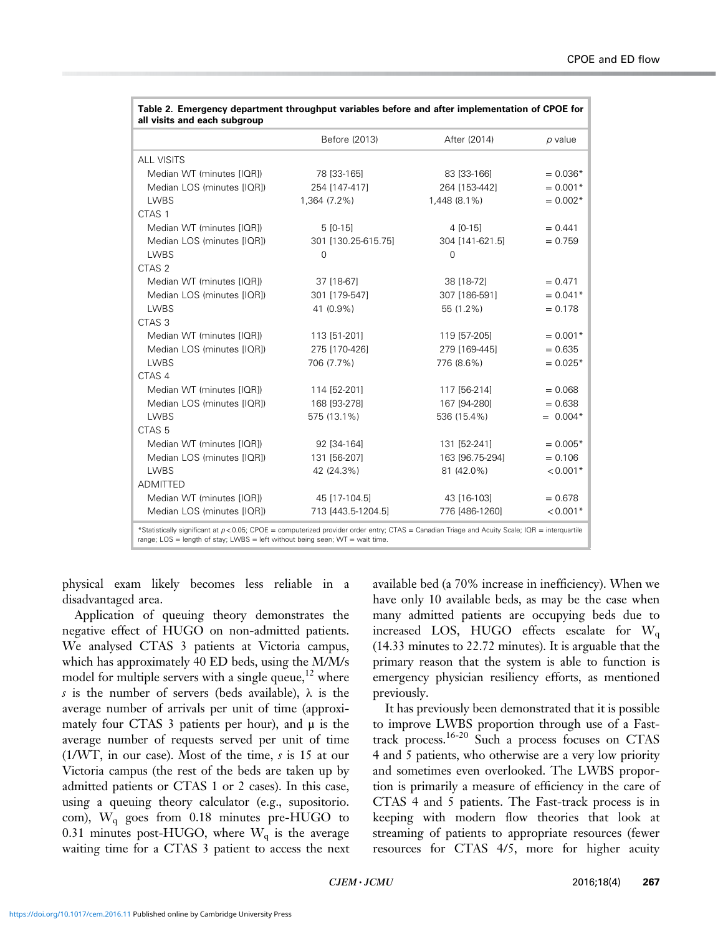| all visits and each subgroup |                     |                                                  |            |
|------------------------------|---------------------|--------------------------------------------------|------------|
|                              | Before (2013)       | After (2014)                                     | p value    |
| <b>ALL VISITS</b>            |                     |                                                  |            |
| Median WT (minutes [IQR])    | 78 [33-165]         | 83 [33-166]                                      | $= 0.036*$ |
| Median LOS (minutes [IQR])   | 254 [147-417]       | 264 [153-442]                                    | $= 0.001*$ |
| <b>LWBS</b>                  | 1,364 (7.2%)        | 1,448 (8.1%)                                     | $= 0.002*$ |
| CTAS <sub>1</sub>            |                     |                                                  |            |
| Median WT (minutes [IQR])    | $5[0-15]$           | $4$ [0-15]                                       | $= 0.441$  |
| Median LOS (minutes [IQR])   | 301 [130.25-615.75] | 304 [141-621.5]                                  | $= 0.759$  |
| <b>LWBS</b>                  | $\Omega$            | $\Omega$                                         |            |
| CTAS <sub>2</sub>            |                     |                                                  |            |
| Median WT (minutes [IQR])    | 37 [18-67]          | 38 [18-72]                                       | $= 0.471$  |
| Median LOS (minutes [IQR])   | 301 [179-547]       | 307 [186-591]                                    | $= 0.041*$ |
| <b>LWBS</b>                  | 41 (0.9%)           | 55 (1.2%)                                        | $= 0.178$  |
| CTAS <sub>3</sub>            |                     |                                                  |            |
| Median WT (minutes [IQR])    | 113 [51-201]        | 119 [57-205]                                     | $= 0.001*$ |
| Median LOS (minutes [IQR])   | 275 [170-426]       | 279 [169-445]                                    | $= 0.635$  |
| <b>LWBS</b>                  | 706 (7.7%)          | 776 (8.6%)                                       | $= 0.025*$ |
| CTAS 4                       |                     |                                                  |            |
| Median WT (minutes [IQR])    | 114 [52-201]        | 117 [56-214]                                     | $= 0.068$  |
| Median LOS (minutes [IQRI)   | 168 [93-278]        | 167 [94-280]                                     | $= 0.638$  |
| <b>LWBS</b>                  | 575 (13.1%)         | 536 (15.4%)                                      | $= 0.004*$ |
| CTAS <sub>5</sub>            |                     |                                                  |            |
| Median WT (minutes [IQR])    | 92 [34-164]         | 131 [52-241]                                     | $= 0.005*$ |
| Median LOS (minutes [IQR])   | 131 [56-207]        | 163 [96.75-294]                                  | $= 0.106$  |
| <b>LWBS</b>                  | 42 (24.3%)          | 81 (42.0%)                                       | $< 0.001*$ |
| <b>ADMITTED</b>              |                     |                                                  |            |
| Median WT (minutes [IQR])    | 45 [17-104.5]       | 43 [16-103]                                      | $= 0.678$  |
| Median LOS (minutes [IQR])   | 713 [443.5-1204.5]  | 776 [486-1260]                                   | $< 0.001*$ |
|                              |                     | $\sim$ $\sim$ $\sim$ $\sim$ $\sim$ $\sim$ $\sim$ |            |

<span id="page-3-0"></span>

| Table 2. Emergency department throughput variables before and after implementation of CPOE for |  |
|------------------------------------------------------------------------------------------------|--|
| all visits and each subgroup                                                                   |  |

\*Statistically significant at p<0.05; CPOE = computerized provider order entry; CTAS = Canadian Triage and Acuity Scale; IQR = interquartile range; LOS = length of stay; LWBS = left without being seen; WT = wait time.

physical exam likely becomes less reliable in a disadvantaged area.

Application of queuing theory demonstrates the negative effect of HUGO on non-admitted patients. We analysed CTAS 3 patients at Victoria campus, which has approximately 40 ED beds, using the M/M/s model for multiple servers with a single queue,  $12$  where s is the number of servers (beds available),  $\lambda$  is the average number of arrivals per unit of time (approximately four CTAS 3 patients per hour), and  $\mu$  is the average number of requests served per unit of time (1/WT, in our case). Most of the time, s is 15 at our Victoria campus (the rest of the beds are taken up by admitted patients or CTAS 1 or 2 cases). In this case, using a queuing theory calculator (e.g., supositorio. com),  $W_q$  goes from 0.18 minutes pre-HUGO to 0.31 minutes post-HUGO, where  $W_q$  is the average waiting time for a CTAS 3 patient to access the next available bed (a 70% increase in inefficiency). When we have only 10 available beds, as may be the case when many admitted patients are occupying beds due to increased LOS, HUGO effects escalate for  $W<sub>a</sub>$ (14.33 minutes to 22.72 minutes). It is arguable that the primary reason that the system is able to function is emergency physician resiliency efforts, as mentioned previously.

It has previously been demonstrated that it is possible to improve LWBS proportion through use of a Fasttrack process.[16-](#page-4-0)[20](#page-5-0) Such a process focuses on CTAS 4 and 5 patients, who otherwise are a very low priority and sometimes even overlooked. The LWBS proportion is primarily a measure of efficiency in the care of CTAS 4 and 5 patients. The Fast-track process is in keeping with modern flow theories that look at streaming of patients to appropriate resources (fewer resources for CTAS 4/5, more for higher acuity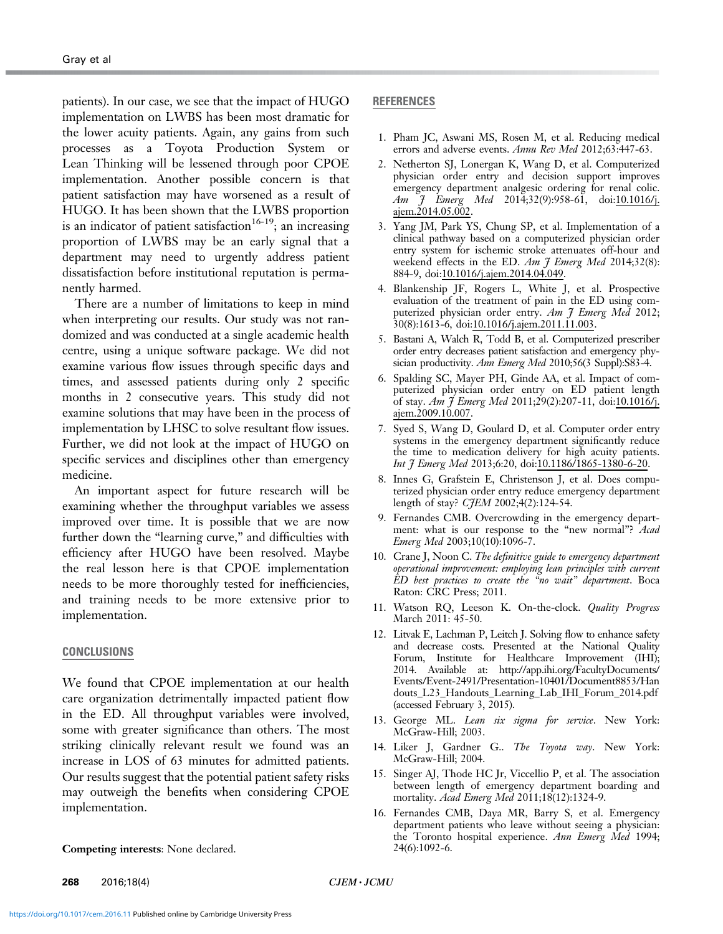<span id="page-4-0"></span>patients). In our case, we see that the impact of HUGO implementation on LWBS has been most dramatic for the lower acuity patients. Again, any gains from such processes as a Toyota Production System or Lean Thinking will be lessened through poor CPOE implementation. Another possible concern is that patient satisfaction may have worsened as a result of HUGO. It has been shown that the LWBS proportion is an indicator of patient satisfaction  $16-19$ ; an increasing proportion of LWBS may be an early signal that a department may need to urgently address patient dissatisfaction before institutional reputation is permanently harmed.

There are a number of limitations to keep in mind when interpreting our results. Our study was not randomized and was conducted at a single academic health centre, using a unique software package. We did not examine various flow issues through specific days and times, and assessed patients during only 2 specific months in 2 consecutive years. This study did not examine solutions that may have been in the process of implementation by LHSC to solve resultant flow issues. Further, we did not look at the impact of HUGO on specific services and disciplines other than emergency medicine.

An important aspect for future research will be examining whether the throughput variables we assess improved over time. It is possible that we are now further down the "learning curve," and difficulties with efficiency after HUGO have been resolved. Maybe the real lesson here is that CPOE implementation needs to be more thoroughly tested for inefficiencies, and training needs to be more extensive prior to implementation.

#### CONCLUSIONS

We found that CPOE implementation at our health care organization detrimentally impacted patient flow in the ED. All throughput variables were involved, some with greater significance than others. The most striking clinically relevant result we found was an increase in LOS of 63 minutes for admitted patients. Our results suggest that the potential patient safety risks may outweigh the benefits when considering CPOE implementation.

Competing interests: None declared.

## REFERENCES

- 1. Pham JC, Aswani MS, Rosen M, et al. Reducing medical errors and adverse events. Annu Rev Med 2012;63:447-63.
- 2. Netherton SJ, Lonergan K, Wang D, et al. Computerized physician order entry and decision support improves emergency department analgesic ordering for renal colic. Am J Emerg Med 2014;32(9):958-61, doi:10.1016/j. ajem.2014.05.002.
- 3. Yang JM, Park YS, Chung SP, et al. Implementation of a clinical pathway based on a computerized physician order entry system for ischemic stroke attenuates off-hour and weekend effects in the ED. Am J Emerg Med 2014;32(8): 884-9, doi:10.1016/j.ajem.2014.04.049.
- 4. Blankenship JF, Rogers L, White J, et al. Prospective evaluation of the treatment of pain in the ED using computerized physician order entry. Am J Emerg Med 2012; 30(8):1613-6, doi:10.1016/j.ajem.2011.11.003.
- 5. Bastani A, Walch R, Todd B, et al. Computerized prescriber order entry decreases patient satisfaction and emergency physician productivity. Ann Emerg Med 2010;56(3 Suppl):S83-4.
- 6. Spalding SC, Mayer PH, Ginde AA, et al. Impact of computerized physician order entry on ED patient length of stay. Am  $\tilde{J}$  Emerg Med 2011;29(2):207-11, doi:10.1016/j. ajem.2009.10.007.
- 7. Syed S, Wang D, Goulard D, et al. Computer order entry systems in the emergency department significantly reduce the time to medication delivery for high acuity patients. Int J Emerg Med 2013;6:20, doi:10.1186/1865-1380-6-20.
- 8. Innes G, Grafstein E, Christenson J, et al. Does computerized physician order entry reduce emergency department length of stay? C*JEM* 2002;4(2):124-54.
- 9. Fernandes CMB. Overcrowding in the emergency department: what is our response to the "new normal"? Acad Emerg Med 2003;10(10):1096-7.
- 10. Crane J, Noon C. The definitive guide to emergency department operational improvement: employing lean principles with current ED best practices to create the "no wait" department. Boca Raton: CRC Press; 2011.
- 11. Watson RQ, Leeson K. On-the-clock. Quality Progress March 2011: 45-50.
- 12. Litvak E, Lachman P, Leitch J. Solving flow to enhance safety and decrease costs. Presented at the National Quality Forum, Institute for Healthcare Improvement (IHI); 2014. Available at: [http://app.ihi.org/FacultyDocuments/](http://app.ihi.org/FacultyDocuments/Events/Event-2491/Presentation-10401/Document8853/Handouts_L23_Handouts_Learning_Lab_IHI_Forum_2014.pdf) [Events/Event-2491/Presentation-10401/Document8853/Han](http://app.ihi.org/FacultyDocuments/Events/Event-2491/Presentation-10401/Document8853/Handouts_L23_Handouts_Learning_Lab_IHI_Forum_2014.pdf) [douts\\_L23\\_Handouts\\_Learning\\_Lab\\_IHI\\_Forum\\_2014.pdf](http://app.ihi.org/FacultyDocuments/Events/Event-2491/Presentation-10401/Document8853/Handouts_L23_Handouts_Learning_Lab_IHI_Forum_2014.pdf) (accessed February 3, 2015).
- 13. George ML. Lean six sigma for service. New York: McGraw-Hill; 2003.
- 14. Liker J, Gardner G.. The Toyota way. New York: McGraw-Hill; 2004.
- 15. Singer AJ, Thode HC Jr, Viccellio P, et al. The association between length of emergency department boarding and mortality. Acad Emerg Med 2011;18(12):1324-9.
- 16. Fernandes CMB, Daya MR, Barry S, et al. Emergency department patients who leave without seeing a physician: the Toronto hospital experience. Ann Emerg Med 1994; 24(6):1092-6.

**268** 2016;18(4) CJEM · JCMU